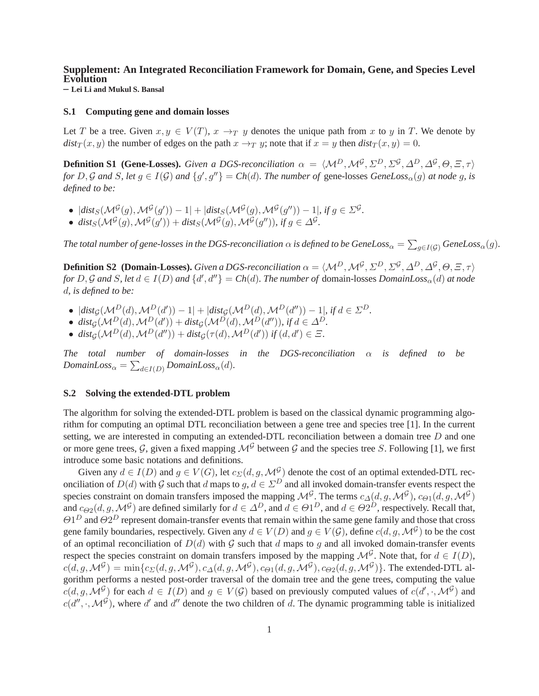# **Supplement: An Integrated Reconciliation Framework for Domain, Gene, and Species Level Evolution**

**– Lei Li and Mukul S. Bansal**

### **S.1 Computing gene and domain losses**

Let T be a tree. Given  $x, y \in V(T)$ ,  $x \to_T y$  denotes the unique path from x to y in T. We denote by  $dist_T(x, y)$  the number of edges on the path  $x \rightarrow_T y$ ; note that if  $x = y$  then  $dist_T(x, y) = 0$ .

**Definition S1** (Gene-Losses). *Given a DGS-reconciliation*  $\alpha = \langle M^D, M^G, \Sigma^D, \Sigma^G, \Delta^D, \Delta^G, \Theta, \Xi, \tau \rangle$ *for*  $D, G$  *and*  $S$ *, let*  $g \in I(G)$  *and*  $\{g', g''\} = Ch(d)$ *. The number of* gene-losses  $Geneloss_{\alpha}(g)$  *at node* g*, is defined to be:*

- $|dist_S(\mathcal{M}^{\mathcal{G}}(g),\mathcal{M}^{\mathcal{G}}(g')) 1| + |dist_S(\mathcal{M}^{\mathcal{G}}(g),\mathcal{M}^{\mathcal{G}}(g'')) 1|, \text{ if } g \in \Sigma^{\mathcal{G}}.$
- $dist_S(\mathcal{M}^{\mathcal{G}}(g), \mathcal{M}^{\mathcal{G}}(g')) + dist_S(\mathcal{M}^{\mathcal{G}}(g), \mathcal{M}^{\mathcal{G}}(g''))$ , if  $g \in \Delta^{\mathcal{G}}$ .

The total number of gene-losses in the DGS-reconciliation  $\alpha$  is defined to be GeneLoss $_\alpha=\sum_{g\in I(\mathcal{G})}$  GeneLoss $_\alpha(g)$ .

**Definition S2** (Domain-Losses). *Given a DGS-reconciliation*  $\alpha = \langle M^D, M^{\mathcal{G}}, \Sigma^D, \Sigma^{\mathcal{G}}, \Delta^D, \Delta^{\mathcal{G}}, \Theta, \Xi, \tau \rangle$ *for*  $D$ ,  $G$  *and*  $S$ , let  $d \in I(D)$  *and*  $\{d', d''\} = Ch(d)$ . The number of domain-losses  $DomainLoss_{\alpha}(d)$  *at node* d*, is defined to be:*

- $|dist_{\mathcal{G}}(\mathcal{M}^D(d), \mathcal{M}^D(d')) 1| + |dist_{\mathcal{G}}(\mathcal{M}^D(d), \mathcal{M}^D(d'')) 1|, if d \in \Sigma^D$ .
- $dist_{\mathcal{G}}(\mathcal{M}^D(d), \mathcal{M}^D(d')) + dist_{\mathcal{G}}(\mathcal{M}^D(d), \mathcal{M}^D(d''))$ , if  $d \in \Delta^D$ .
- $dist_{\mathcal{G}}(\mathcal{M}^D(d), \mathcal{M}^D(d'')) + dist_{\mathcal{G}}(\tau(d), \mathcal{M}^D(d'))$  *if*  $(d, d') \in \Xi$ .

*The total number of domain-losses in the DGS-reconciliation* α *is defined to be*  $DomainLoss_{\alpha} = \sum_{d \in I(D)} DomainLoss_{\alpha}(d)$ *.* 

#### **S.2 Solving the extended-DTL problem**

The algorithm for solving the extended-DTL problem is based on the classical dynamic programming algorithm for computing an optimal DTL reconciliation between a gene tree and species tree [1]. In the current setting, we are interested in computing an extended-DTL reconciliation between a domain tree D and one or more gene trees, G, given a fixed mapping  $\mathcal{M}^{\mathcal{G}}$  between G and the species tree S. Following [1], we first introduce some basic notations and definitions.

Given any  $d \in I(D)$  and  $g \in V(G)$ , let  $c_{\Sigma}(d, g, \mathcal{M}^{\mathcal{G}})$  denote the cost of an optimal extended-DTL reconciliation of  $D(d)$  with G such that d maps to  $q, d \in \Sigma^D$  and all invoked domain-transfer events respect the species constraint on domain transfers imposed the mapping  $\mathcal{M}^{\mathcal{G}}$ . The terms  $c_{\Delta}(d,g,\mathcal{M}^{\mathcal{G}})$ ,  $c_{\Theta1}(d,g,\mathcal{M}^{\mathcal{G}})$ and  $c_{\Theta 2}(d, g, \mathcal{M}^{\mathcal{G}})$  are defined similarly for  $d \in \Delta^D$ , and  $d \in \Theta 1^D$ , and  $d \in \Theta 2^D$ , respectively. Recall that,  $\Theta1^D$  and  $\Theta2^D$  represent domain-transfer events that remain within the same gene family and those that cross gene family boundaries, respectively. Given any  $d \in V(D)$  and  $g \in V(G)$ , define  $c(d, g, \mathcal{M}^{\mathcal{G}})$  to be the cost of an optimal reconciliation of  $D(d)$  with G such that d maps to g and all invoked domain-transfer events respect the species constraint on domain transfers imposed by the mapping  $\mathcal{M}^{\mathcal{G}}$ . Note that, for  $d \in I(D)$ ,  $c(d, g, \mathcal{M}^{\mathcal{G}}) = \min\{c_{\Sigma}(d, g, \mathcal{M}^{\mathcal{G}}), c_{\Delta}(d, g, \mathcal{M}^{\mathcal{G}}), c_{\Theta 1}(d, g, \mathcal{M}^{\mathcal{G}}), c_{\Theta 2}(d, g, \mathcal{M}^{\mathcal{G}})\}\.$  The extended-DTL algorithm performs a nested post-order traversal of the domain tree and the gene trees, computing the value  $c(d, g, \mathcal{M}^{\mathcal{G}})$  for each  $d \in I(D)$  and  $g \in V(\mathcal{G})$  based on previously computed values of  $c(d', \cdot, \mathcal{M}^{\mathcal{G}})$  and  $c(d'',\cdot,\mathcal{M}^{\mathcal{G}})$ , where d' and d'' denote the two children of d. The dynamic programming table is initialized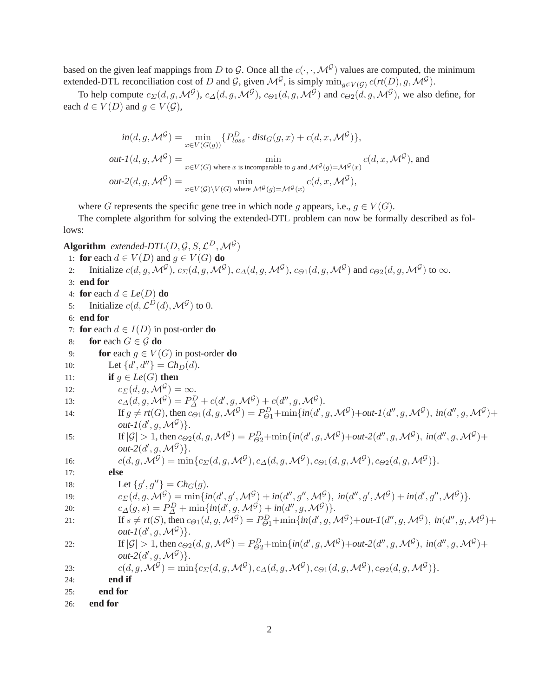based on the given leaf mappings from D to G. Once all the  $c(\cdot, \cdot, \mathcal{M}^{\mathcal{G}})$  values are computed, the minimum extended-DTL reconciliation cost of D and G, given  $\mathcal{M}^{\mathcal{G}}$ , is simply  $\min_{g \in V(\mathcal{G})} c(r(\mathcal{H}(D), g, \mathcal{M}^{\mathcal{G}}))$ .

To help compute  $c_{\Sigma}(d,g,\mathcal{M}^{\mathcal{G}})$ ,  $c_{\Delta}(d,g,\mathcal{M}^{\mathcal{G}})$ ,  $c_{\Theta1}(d,g,\mathcal{M}^{\mathcal{G}})$  and  $c_{\Theta2}(d,g,\mathcal{M}^{\mathcal{G}})$ , we also define, for each  $d \in V(D)$  and  $g \in V(G)$ ,

$$
in(d, g, \mathcal{M}^{\mathcal{G}}) = \min_{x \in V(G(g))} \{ P_{loss}^{D} \cdot dist_G(g, x) + c(d, x, \mathcal{M}^{\mathcal{G}}) \},
$$
  
out-1(d, g, \mathcal{M}^{\mathcal{G}}) = \min\_{x \in V(G) \text{ where } x \text{ is incomparable to } g \text{ and } \mathcal{M}^{\mathcal{G}}(g) = \mathcal{M}^{\mathcal{G}}(x)} c(d, x, \mathcal{M}^{\mathcal{G}}), and  
out-2(d, g, \mathcal{M}^{\mathcal{G}}) = \min\_{x \in V(\mathcal{G}) \backslash V(G) \text{ where } \mathcal{M}^{\mathcal{G}}(g) = \mathcal{M}^{\mathcal{G}}(x)} c(d, x, \mathcal{M}^{\mathcal{G}}),

where G represents the specific gene tree in which node g appears, i.e.,  $g \in V(G)$ .

The complete algorithm for solving the extended-DTL problem can now be formally described as follows:

**Algorithm** *extended-DTL*( $D$ ,  $\mathcal{G}$ ,  $S$ ,  $\mathcal{L}^D$ ,  $\mathcal{M}^{\mathcal{G}}$ )

\n- 1: **for** each 
$$
d \in V(D)
$$
 and  $g \in V(G)$  **do**
\n- 2: Initialize  $c(d, g, \mathcal{M}^{\mathcal{G}})$ ,  $c_{\Sigma}(d, g, \mathcal{M}^{\mathcal{G}})$ ,  $c_{\Delta}(d, g, \mathcal{M}^{\mathcal{G}})$ ,  $c_{\Theta 1}(d, g, \mathcal{M}^{\mathcal{G}})$  and  $c_{\Theta 2}(d, g, \mathcal{M}^{\mathcal{G}})$  to  $\infty$ .
\n- 3: **end for**
\n- 4: **for** each  $d \in Le(D)$  **do**
\n- 5: Initialize  $c(d, \mathcal{L}^D(d), \mathcal{M}^{\mathcal{G}})$  to 0.
\n

$$
6: \textbf{ end for }
$$

7: **for** each  $d \in I(D)$  in post-order **do** 

8: **for** each 
$$
G \in \mathcal{G}
$$
 **do**  
\n9: **for** each  $g \in V(G)$  in post-order **do**  
\n10: Let  $\{d', d''\} = Ch_D(d)$ .  
\n11: **if**  $g \in Le(G)$  **then**  
\n12:  $c_S(d, g, \mathcal{M}^G) = \mathcal{D}_\Delta^D + c(d', g, \mathcal{M}^G) + c(d'', g, \mathcal{M}^G)$ .  
\n13:  $c_A(d, g, \mathcal{M}^G) = P^D_\Delta + c(d', g, \mathcal{M}^G) + c(d'', g, \mathcal{M}^G) + out-I(d'', g, \mathcal{M}^G), in(d'', g, \mathcal{M}^G) + out-I(d'', g, \mathcal{M}^G) + out-I(d'', g, \mathcal{M}^G)$ .  
\n14: If  $g \neq r(f(G)$ , then  $c_{\Theta 1}(d, g, \mathcal{M}^G) = P^D_{\Theta 1} + min\{in(d', g, \mathcal{M}^G) + out-2(d'', g, \mathcal{M}^G), in(d'', g, \mathcal{M}^G) + out-2(d', g, \mathcal{M}^G)\}$ .  
\n15: If  $|G| > 1$ , then  $c_{\Theta 2}(d, g, \mathcal{M}^G) = P^D_{\Theta 2} + min\{in(d', g, \mathcal{M}^G), c_{\Theta 1}(d, g, \mathcal{M}^G), c_{\Theta 2}(d, g, \mathcal{M}^G)\}$ .  
\n16: **else**  
\n18: Let  $\{g', g''\} = Ch_G(g)$ .  
\n19:  $c_S(d, g, \mathcal{M}^G) = min\{ic_S(d, g, \mathcal{M}^G) + in(d'', g'', \mathcal{M}^G), in(d'', g', \mathcal{M}^G) + in(d', g'', \mathcal{M}^G)\}$ .  
\n10:  $c_S(d, g, \mathcal{M}^G) = min\{in(d', g, \mathcal{M}^G) + in(d'', g', \mathcal{M}^G), in(d'', g'', \mathcal{M}^G)\}$ .  
\n20:  $c_S(d, g, \$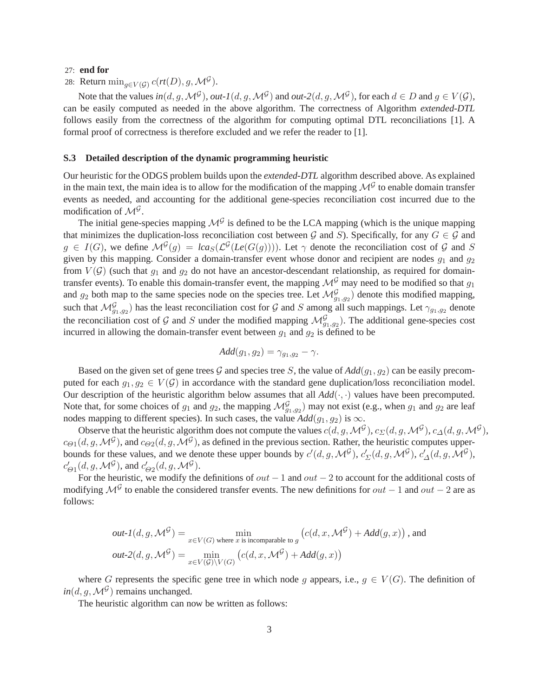## 27: **end for**

28: Return  $\min_{g \in V(\mathcal{G})} c(rt(D), g, \mathcal{M}^{\mathcal{G}})$ .

Note that the values  $in(d, g, \mathcal{M}^{\mathcal{G}})$ , *out-1*(d, g,  $\mathcal{M}^{\mathcal{G}}$ ) and *out-2*(d, g,  $\mathcal{M}^{\mathcal{G}}$ ), for each  $d \in D$  and  $g \in V(\mathcal{G})$ , can be easily computed as needed in the above algorithm. The correctness of Algorithm *extended-DTL* follows easily from the correctness of the algorithm for computing optimal DTL reconciliations [1]. A formal proof of correctness is therefore excluded and we refer the reader to [1].

### **S.3 Detailed description of the dynamic programming heuristic**

Our heuristic for the ODGS problem builds upon the *extended-DTL* algorithm described above. As explained in the main text, the main idea is to allow for the modification of the mapping  $\mathcal{M}^{\mathcal{G}}$  to enable domain transfer events as needed, and accounting for the additional gene-species reconciliation cost incurred due to the modification of  $\mathcal{M}^{\mathcal{G}}$ .

The initial gene-species mapping  $\mathcal{M}^{\mathcal{G}}$  is defined to be the LCA mapping (which is the unique mapping that minimizes the duplication-loss reconciliation cost between G and S). Specifically, for any  $G \in \mathcal{G}$  and  $g \in I(G)$ , we define  $\mathcal{M}^{\mathcal{G}}(g) = \text{lcag}(\mathcal{L}^{\mathcal{G}}(\text{Le}(G(g))))$ . Let  $\gamma$  denote the reconciliation cost of  $\mathcal{G}$  and  $S$ given by this mapping. Consider a domain-transfer event whose donor and recipient are nodes  $g_1$  and  $g_2$ from  $V(G)$  (such that  $g_1$  and  $g_2$  do not have an ancestor-descendant relationship, as required for domaintransfer events). To enable this domain-transfer event, the mapping  $\mathcal{M}^{\mathcal{G}}$  may need to be modified so that  $g_1$ and  $g_2$  both map to the same species node on the species tree. Let  $\mathcal{M}_{g_1,g_2}^{\mathcal{G}}$  denote this modified mapping, such that  $\mathcal{M}_{g_1,g_2}^{\mathcal{G}}$  has the least reconciliation cost for  $\mathcal{G}$  and  $S$  among all such mappings. Let  $\gamma_{g_1,g_2}$  denote the reconciliation cost of G and S under the modified mapping  $\mathcal{M}_{g_1,g_2}^{\mathcal{G}}$ ). The additional gene-species cost incurred in allowing the domain-transfer event between  $g_1$  and  $g_2$  is defined to be

$$
Add(g_1, g_2) = \gamma_{g_1, g_2} - \gamma.
$$

Based on the given set of gene trees G and species tree S, the value of  $Add(q_1, q_2)$  can be easily precomputed for each  $g_1, g_2 \in V(G)$  in accordance with the standard gene duplication/loss reconciliation model. Our description of the heuristic algorithm below assumes that all  $Add(\cdot, \cdot)$  values have been precomputed. Note that, for some choices of  $g_1$  and  $g_2$ , the mapping  $\mathcal{M}_{g_1,g_2}^{\mathcal{G}}$  may not exist (e.g., when  $g_1$  and  $g_2$  are leaf nodes mapping to different species). In such cases, the value  $Add(g_1, g_2)$  is  $\infty$ .

Observe that the heuristic algorithm does not compute the values  $c(d, g, \mathcal{M}^{\mathcal{G}})$ ,  $c_{\Sigma}(d, g, \mathcal{M}^{\mathcal{G}})$ ,  $c_{\Delta}(d, g, \mathcal{M}^{\mathcal{G}})$ ,  $c_{\Theta_1}(d,g,\mathcal{M}^{\mathcal{G}})$ , and  $c_{\Theta_2}(d,g,\mathcal{M}^{\mathcal{G}})$ , as defined in the previous section. Rather, the heuristic computes upperbounds for these values, and we denote these upper bounds by  $c'(d, g, \mathcal{M}^{\mathcal{G}})$ ,  $c'_{\Sigma}(d, g, \mathcal{M}^{\mathcal{G}})$ ,  $c'_{\Delta}(d, g, \mathcal{M}^{\mathcal{G}})$ ,  $c'_{\Theta1}(d,g,\mathcal{M}^{\mathcal{G}})$ , and  $c'_{\Theta2}(d,g,\mathcal{M}^{\mathcal{G}})$ .

For the heuristic, we modify the definitions of  $out - 1$  and  $out - 2$  to account for the additional costs of modifying  $\mathcal{M}^{\mathcal{G}}$  to enable the considered transfer events. The new definitions for  $out - 1$  and  $out - 2$  are as follows:

out-1(d, g, 
$$
\mathcal{M}^{\mathcal{G}})
$$
 = min  
out-2(d, g,  $\mathcal{M}^{\mathcal{G}}$ ) = min  

$$
out-2(d, g, \mathcal{M}^{\mathcal{G}})
$$
 = min  

$$
x \in V(\mathcal{G}) \setminus V(\mathcal{G})
$$
  $(c(d, x, \mathcal{M}^{\mathcal{G}}) + Add(g, x))$ 

where G represents the specific gene tree in which node g appears, i.e.,  $g \in V(G)$ . The definition of  $in(d, g, \mathcal{M}^{\mathcal{G}})$  remains unchanged.

The heuristic algorithm can now be written as follows: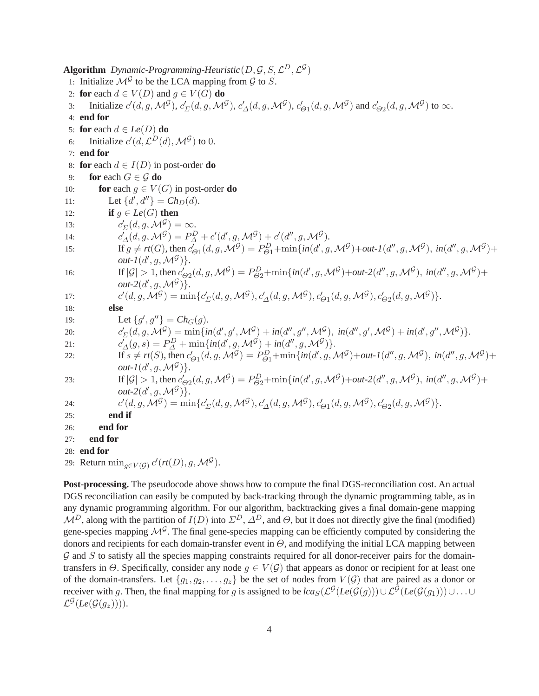**Algorithm** *Dynamic-Programming-Heuristic*( $D, G, S, L^D, L^G$ ) 1: Initialize  $\mathcal{M}^{\mathcal{G}}$  to be the LCA mapping from  $\mathcal{G}$  to  $S$ . 2: **for** each  $d \in V(D)$  and  $q \in V(G)$  **do** 3: Initialize  $c'(d, g, \mathcal{M}^{\mathcal{G}})$ ,  $c'_{\Sigma}(d, g, \mathcal{M}^{\mathcal{G}})$ ,  $c'_{\Delta}(d, g, \mathcal{M}^{\mathcal{G}})$ ,  $c'_{\Theta 1}(d, g, \mathcal{M}^{\mathcal{G}})$  and  $c'_{\Theta 2}(d, g, \mathcal{M}^{\mathcal{G}})$  to  $\infty$ . 4: **end for** 5: **for** each  $d \in Le(D)$  **do** 6: Initialize  $c'(d, \mathcal{L}^D(d), \mathcal{M}^{\mathcal{G}})$  to 0. 7: **end for** 8: **for** each  $d \in I(D)$  in post-order **do** 9: **for** each  $G \in \mathcal{G}$  **do** 10: **for** each  $g \in V(G)$  in post-order **do** 11: Let  $\{d', d''\} = Ch_D(d)$ . 12: **if**  $q \in Le(G)$  **then**  $13:$  $\mathcal{L}_{\Sigma}(d,g,\mathcal{M}^{\mathcal{G}}) = \infty.$  $14:$  $\overline{U}_{\Delta}(d,g,\mathcal{M}^{\mathcal{G}}) = P_{\Delta}^{D} + c'(d',g,\mathcal{M}^{\mathcal{G}}) + c'(d'',g,\mathcal{M}^{\mathcal{G}}).$ 15: If  $g \neq rt(G)$ , then  $c'_{\Theta_1}(d, g, \mathcal{M}^{\mathcal{G}}) = P_{\Theta_1}^D + \min\{in(d', g, \mathcal{M}^{\mathcal{G}}) + out\text{-}1(d'', g, \mathcal{M}^{\mathcal{G}}), in(d'', g, \mathcal{M}^{\mathcal{G}}) + \}$  $out-I(d',g,\mathcal{M}^{\mathcal{G}})\}.$ 16: If  $|\mathcal{G}| > 1$ , then  $c'_{\Theta 2}(d, g, \mathcal{M}^{\mathcal{G}}) = P_{\Theta 2}^D + \min\{in(d', g, \mathcal{M}^{\mathcal{G}}) + out - 2(d'', g, \mathcal{M}^{\mathcal{G}}), in(d'', g, \mathcal{M}^{\mathcal{G}}) +$  $out-2(d',g,\mathcal{M}^{\mathcal{G}})\}.$ 

$$
c'(d,g,\mathcal{M}^{\mathcal{G}}) = \min\{c'_{\Sigma}(d,g,\mathcal{M}^{\mathcal{G}}),c'_{\Delta}(d,g,\mathcal{M}^{\mathcal{G}}),c'_{\Theta 1}(d,g,\mathcal{M}^{\mathcal{G}}),c'_{\Theta 2}(d,g,\mathcal{M}^{\mathcal{G}})\}.
$$

18: **else**

 $17:$ 

19: Let  $\{g', g''\} = Ch_G(g)$ .  $20:$  $J_{\Sigma}(d,g,\mathcal{M}^{\mathcal{G}})=\min\{in(d',g',\mathcal{M}^{\mathcal{G}})+in(d'',g'',\mathcal{M}^{\mathcal{G}}),\ in(d'',g',\mathcal{M}^{\mathcal{G}})+in(d',g'',\mathcal{M}^{\mathcal{G}})\}.$  $21:$  $J_{\Delta}(g, s) = P_{\Delta}^D + \min\{in(d', g, \mathcal{M}^{\mathcal{G}}) + in(d'', g, \mathcal{M}^{\mathcal{G}})\}.$ 22: If  $s \neq rt(S)$ , then  $c'_{\Theta_1}(d, g, \mathcal{M}^{\mathcal{G}}) = P_{\Theta_1}^D + \min\{in(d', g, \mathcal{M}^{\mathcal{G}}) + out\text{-}1(d'', g, \mathcal{M}^{\mathcal{G}}), in(d'', g, \mathcal{M}^{\mathcal{G}}) + \}$  $out-I(d',g,\mathcal{M}^{\mathcal{G}})\}.$ 23: If  $|\mathcal{G}| > 1$ , then  $c'_{\Theta 2}(d, g, \mathcal{M}^{\mathcal{G}}) = P_{\Theta 2}^D + \min\{in(d', g, \mathcal{M}^{\mathcal{G}}) + out - 2(d'', g, \mathcal{M}^{\mathcal{G}}), in(d'', g, \mathcal{M}^{\mathcal{G}}) +$  $out-2(d',g,\mathcal{M}^{\mathcal{G}})\}.$  $24:$  $\mathcal{C}'(d,g,\mathcal{M}^{\mathcal{G}})=\min\{c'_\Sigma(d,g,\mathcal{M}^{\mathcal{G}}),c'_\Delta(d,g,\mathcal{M}^{\mathcal{G}}),c'_{\Theta 1}(d,g,\mathcal{M}^{\mathcal{G}}),c'_{\Theta 2}(d,g,\mathcal{M}^{\mathcal{G}})\}.$ 25: **end if** 26: **end for** 27: **end for**

28: **end for**

29: Return  $\min_{g \in V(G)} c'(rt(D), g, \mathcal{M}^{\mathcal{G}}).$ 

**Post-processing.** The pseudocode above shows how to compute the final DGS-reconciliation cost. An actual DGS reconciliation can easily be computed by back-tracking through the dynamic programming table, as in any dynamic programming algorithm. For our algorithm, backtracking gives a final domain-gene mapping  $\mathcal{M}^D$ , along with the partition of  $I(D)$  into  $\Sigma^D$ ,  $\Delta^D$ , and  $\Theta$ , but it does not directly give the final (modified) gene-species mapping  $\mathcal{M}^{\mathcal{G}}$ . The final gene-species mapping can be efficiently computed by considering the donors and recipients for each domain-transfer event in  $\Theta$ , and modifying the initial LCA mapping between  $G$  and  $S$  to satisfy all the species mapping constraints required for all donor-receiver pairs for the domaintransfers in  $\Theta$ . Specifically, consider any node  $g \in V(G)$  that appears as donor or recipient for at least one of the domain-transfers. Let  $\{g_1, g_2, \ldots, g_z\}$  be the set of nodes from  $V(\mathcal{G})$  that are paired as a donor or receiver with g. Then, the final mapping for g is assigned to be  $lca_S(\mathcal{L}^{\mathcal{G}}(Le(\mathcal{G}(g)))\cup\mathcal{L}^{\mathcal{G}}(Le(\mathcal{G}(g_1)))\cup\ldots\cup$  $\mathcal{L}^{\mathcal{G}}(Le(\mathcal{G}(g_z))))$ .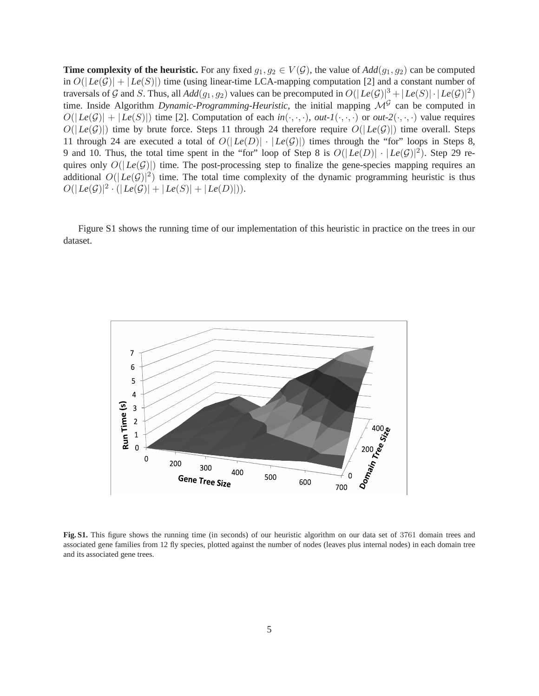**Time complexity of the heuristic.** For any fixed  $g_1, g_2 \in V(G)$ , the value of  $Add(g_1, g_2)$  can be computed in  $O(|Le(G)| + |Le(S)|)$  time (using linear-time LCA-mapping computation [2] and a constant number of traversals of G and S. Thus, all  $Add(g_1, g_2)$  values can be precomputed in  $O(|Le(G)|^3 + |Le(S)| \cdot |Le(G)|^2)$ time. Inside Algorithm *Dynamic-Programming-Heuristic*, the initial mapping  $\mathcal{M}^{\mathcal{G}}$  can be computed in  $O(|Le(\mathcal{G})| + |Le(S)|)$  time [2]. Computation of each  $in(\cdot, \cdot, \cdot)$ , *out-1*( $\cdot, \cdot, \cdot$ ) or *out-2*( $\cdot, \cdot, \cdot$ ) value requires  $O(|Le(\mathcal{G})|)$  time by brute force. Steps 11 through 24 therefore require  $O(|Le(\mathcal{G})|)$  time overall. Steps 11 through 24 are executed a total of  $O(|Le(D)| \cdot |Le(G)|)$  times through the "for" loops in Steps 8, 9 and 10. Thus, the total time spent in the "for" loop of Step 8 is  $O(|Le(D)| \cdot |Le(G)|^2)$ . Step 29 requires only  $O(|Le(\mathcal{G})|)$  time. The post-processing step to finalize the gene-species mapping requires an additional  $O(|Le(G)|^2)$  time. The total time complexity of the dynamic programming heuristic is thus  $O(|Le(\mathcal{G})|^2 \cdot (|Le(\mathcal{G})| + |Le(S)| + |Le(D)|)).$ 

Figure S1 shows the running time of our implementation of this heuristic in practice on the trees in our dataset.



**Fig. S1.** This figure shows the running time (in seconds) of our heuristic algorithm on our data set of 3761 domain trees and associated gene families from 12 fly species, plotted against the number of nodes (leaves plus internal nodes) in each domain tree and its associated gene trees.